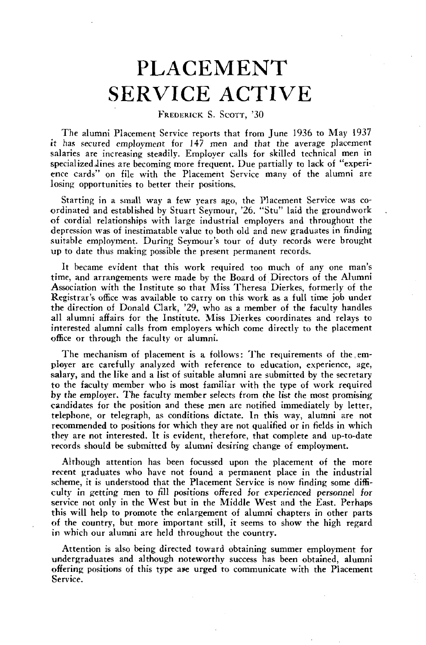## PLACEMENT **k.** SERVICE ACTIVE

FREDERICK S. SCOTT, '30

The alumni Placement Service reports that from June 1936 to May 1937 it has secured employment for 147 men and that the average placement salaries are increasing steadily. Employer calls for skilled technical men in specialized lines are becoming more frequent. Due partially to lack of "experience cards" on file with the Placement Service many of the alumni are losing opportunities to better their positions.

Starting in a small way a few years ago, the Placement Service was coordinated and established by Stuart Seymour, '26. "Stu" laid the groundwork of cordial relationships with large industrial employers and throughout the depression was of inestimatable value to both old and new graduates in finding suitable employment. During Seymour's tour of duty records were brought up to date thus making possible the present permanent records.

It became evident that this work required too much of any one man's time, and arrangements were made by the Board of Directors of the Alumni Association with the Institute so that Miss Theresa Dierkes, formerly of the Registrar's office was available to carry on this work as a full time job under the direction of Donald Clark, '29, who as a member of the faculty handles all alumni affairs for the Institute. Miss Dierkes coordinates and relays to interested alumni calls from employers which come directly to the placement office or through the faculty or alumni.

The mechanism of placement is a follows: The requirements of the employer are carefully analyzed with reference to education, experience, age, salary, and the like and a list of suitable alumni are submitted by the secretary to the faculty member who is most familiar with the type of work required by the employer. The faculty member selects from the list the most promising candidates for the position and these men are notified immediately by letter, telephone, or telegraph, as conditions dictate. In this way, alumni are not recommended to positions for which they are not qualified or in fields in which they are not interested. It is evident, therefore, that complete and up-to-date records should **be** submitted **by** alumni desiring change of employment.

Although attention has been focussed upon the placement of the more recent graduates who have not found a permanent place in the industrial scheme, it is understood that the Placement Service is now finding some difficulty in getting men to fill positions offered for experienced personnel for service not only in the West but in the Middle West and the East. Perhaps this will help to promote the enlargement of alumni chapters in other parts of the country, but more important still, it seems to show the high regard in which our alumni are held throughout the country.

Attention is also being directed toward obtaining summer employment for undergraduates and although noteworthy success has been obtained, alumni offering positions of this type are urged to communicate with the Placement Service.